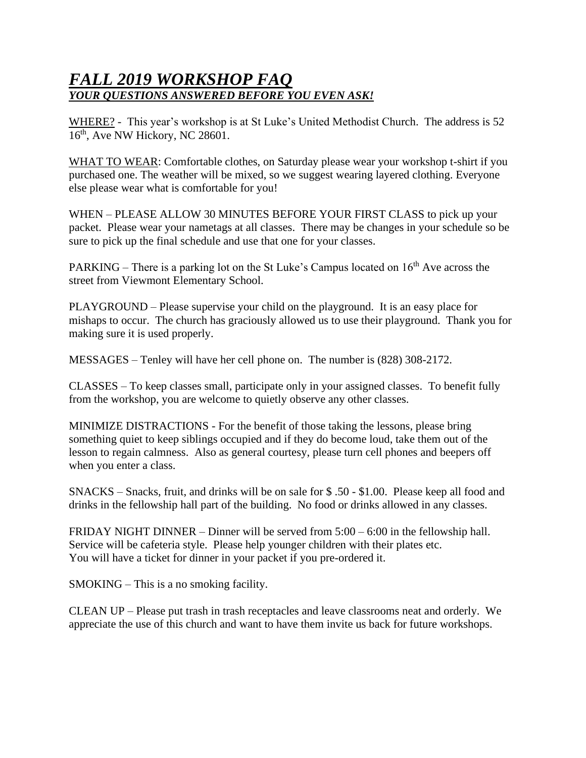## *FALL 2019 WORKSHOP FAQ YOUR QUESTIONS ANSWERED BEFORE YOU EVEN ASK!*

WHERE? - This year's workshop is at St Luke's United Methodist Church. The address is 52 16<sup>th</sup>, Ave NW Hickory, NC 28601.

WHAT TO WEAR: Comfortable clothes, on Saturday please wear your workshop t-shirt if you purchased one. The weather will be mixed, so we suggest wearing layered clothing. Everyone else please wear what is comfortable for you!

WHEN – PLEASE ALLOW 30 MINUTES BEFORE YOUR FIRST CLASS to pick up your packet. Please wear your nametags at all classes. There may be changes in your schedule so be sure to pick up the final schedule and use that one for your classes.

PARKING – There is a parking lot on the St Luke's Campus located on  $16<sup>th</sup>$  Ave across the street from Viewmont Elementary School.

PLAYGROUND – Please supervise your child on the playground. It is an easy place for mishaps to occur. The church has graciously allowed us to use their playground. Thank you for making sure it is used properly.

MESSAGES – Tenley will have her cell phone on. The number is (828) 308-2172.

CLASSES – To keep classes small, participate only in your assigned classes. To benefit fully from the workshop, you are welcome to quietly observe any other classes.

MINIMIZE DISTRACTIONS - For the benefit of those taking the lessons, please bring something quiet to keep siblings occupied and if they do become loud, take them out of the lesson to regain calmness. Also as general courtesy, please turn cell phones and beepers off when you enter a class.

SNACKS – Snacks, fruit, and drinks will be on sale for \$ .50 - \$1.00. Please keep all food and drinks in the fellowship hall part of the building. No food or drinks allowed in any classes.

FRIDAY NIGHT DINNER – Dinner will be served from 5:00 – 6:00 in the fellowship hall. Service will be cafeteria style. Please help younger children with their plates etc. You will have a ticket for dinner in your packet if you pre-ordered it.

SMOKING – This is a no smoking facility.

CLEAN UP – Please put trash in trash receptacles and leave classrooms neat and orderly. We appreciate the use of this church and want to have them invite us back for future workshops.